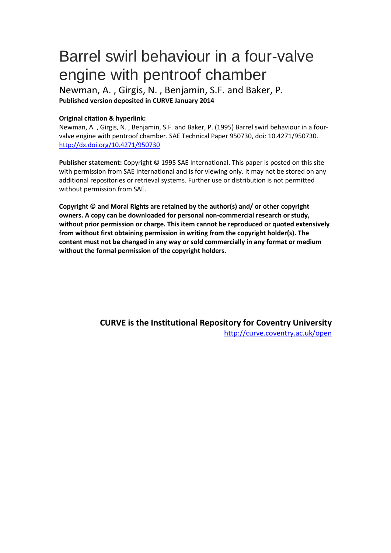# Barrel swirl behaviour in a four-valve engine with pentroof chamber

Newman, A. , Girgis, N. , Benjamin, S.F. and Baker, P. **Published version deposited in CURVE January 2014**

#### **Original citation & hyperlink:**

Newman, A. , Girgis, N. , Benjamin, S.F. and Baker, P. (1995) Barrel swirl behaviour in a fourvalve engine with pentroof chamber. SAE Technical Paper 950730, doi: 10.4271/950730. <http://dx.doi.org/10.4271/950730>

**Publisher statement:** Copyright © 1995 SAE International. This paper is posted on this site with permission from SAE International and is for viewing only. It may not be stored on any additional repositories or retrieval systems. Further use or distribution is not permitted without permission from SAE.

**Copyright © and Moral Rights are retained by the author(s) and/ or other copyright owners. A copy can be downloaded for personal non-commercial research or study, without prior permission or charge. This item cannot be reproduced or quoted extensively from without first obtaining permission in writing from the copyright holder(s). The content must not be changed in any way or sold commercially in any format or medium without the formal permission of the copyright holders.**

> **CURVE is the Institutional Repository for Coventry University** <http://curve.coventry.ac.uk/open>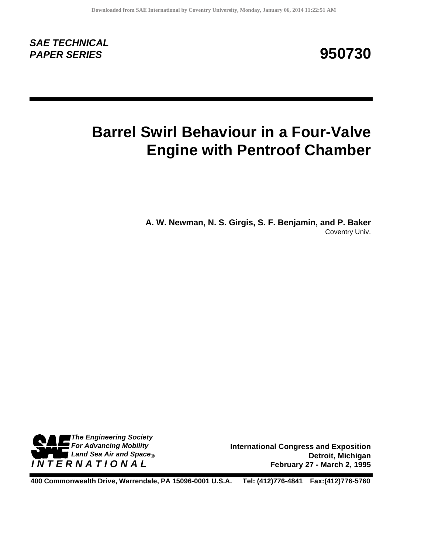



# **Barrel Swirl Behaviour in a Four-Valve Engine with Pentroof Chamber**

**A. W. Newman, N. S. Girgis, S. F. Benjamin, and P. Baker** Coventry Univ.



**International Congress and Exposition Detroit, Michigan February 27 - March 2, 1995**

**400 Commonwealth Drive, Warrendale, PA 15096-0001 U.S.A. Tel: (412)776-4841 Fax:(412)776-5760**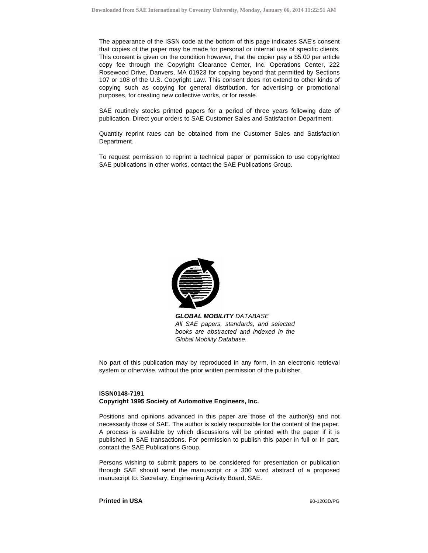The appearance of the ISSN code at the bottom of this page indicates SAE's consent that copies of the paper may be made for personal or internal use of specific clients. This consent is given on the condition however, that the copier pay a \$5.00 per article copy fee through the Copyright Clearance Center, Inc. Operations Center, 222 Rosewood Drive, Danvers, MA 01923 for copying beyond that permitted by Sections 107 or 108 of the U.S. Copyright Law. This consent does not extend to other kinds of copying such as copying for general distribution, for advertising or promotional purposes, for creating new collective works, or for resale.

SAE routinely stocks printed papers for a period of three years following date of publication. Direct your orders to SAE Customer Sales and Satisfaction Department.

Quantity reprint rates can be obtained from the Customer Sales and Satisfaction Department.

To request permission to reprint a technical paper or permission to use copyrighted SAE publications in other works, contact the SAE Publications Group.



*GLOBAL MOBILITY DATABASE All SAE papers, standards, and selected books are abstracted and indexed in the Global Mobility Database.*

No part of this publication may by reproduced in any form, in an electronic retrieval system or otherwise, without the prior written permission of the publisher.

#### **ISSN0148-7191 Copyright 1995 Society of Automotive Engineers, Inc.**

Positions and opinions advanced in this paper are those of the author(s) and not necessarily those of SAE. The author is solely responsible for the content of the paper. A process is available by which discussions will be printed with the paper if it is published in SAE transactions. For permission to publish this paper in full or in part, contact the SAE Publications Group.

Persons wishing to submit papers to be considered for presentation or publication through SAE should send the manuscript or a 300 word abstract of a proposed manuscript to: Secretary, Engineering Activity Board, SAE.

**Printed in USA** 90-1203D/PG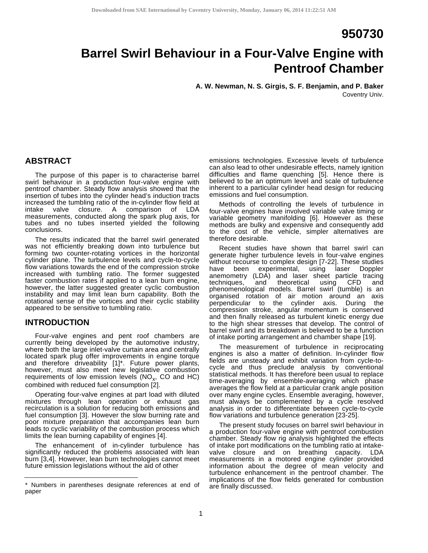## **950730**

# **Barrel Swirl Behaviour in a Four-Valve Engine with Pentroof Chamber**

**A. W. Newman, N. S. Girgis, S. F. Benjamin, and P. Baker** Coventry Univ.

#### **ABSTRACT**

The purpose of this paper is to characterise barrel swirl behaviour in a production four-valve engine with pentroof chamber. Steady flow analysis showed that the insertion of tubes into the cylinder head's induction tracts increased the tumbling ratio of the in-cylinder flow field at intake valve closure. A comparison of LDA measurements, conducted along the spark plug axis, for tubes and no tubes inserted yielded the following conclusions.

The results indicated that the barrel swirl generated was not efficiently breaking down into turbulence but forming two counter-rotating vortices in the horizontal cylinder plane. The turbulence levels and cycle-to-cycle flow variations towards the end of the compression stroke increased with tumbling ratio. The former suggested faster combustion rates if applied to a lean burn engine, however, the latter suggested greater cyclic combustion instability and may limit lean burn capability. Both the rotational sense of the vortices and their cyclic stability appeared to be sensitive to tumbling ratio.

#### **INTRODUCTION**

Four-valve engines and pent roof chambers are currently being developed by the automotive industry, where both the large inlet-valve curtain area and centrally located spark plug offer improvements in engine torque and therefore driveability [1]\*. Future power plants, however, must also meet new legislative combustion requirements of low emission levels (NO<sub>x</sub>, CO and HC) combined with reduced fuel consumption [2].

Operating four-valve engines at part load with diluted mixtures through lean operation or exhaust gas recirculation is a solution for reducing both emissions and fuel consumption [3]. However the slow burning rate and poor mixture preparation that accompanies lean burn leads to cyclic variability of the combustion process which limits the lean burning capability of engines [4].

The enhancement of in-cylinder turbulence has significantly reduced the problems associated with lean burn [3,4]. However, lean burn technologies cannot meet future emission legislations without the aid of other

emissions technologies. Excessive levels of turbulence can also lead to other undesirable effects, namely ignition difficulties and flame quenching [5]. Hence there is believed to be an optimum level and scale of turbulence inherent to a particular cylinder head design for reducing emissions and fuel consumption.

Methods of controlling the levels of turbulence in four-valve engines have involved variable valve timing or variable geometry manifolding [6]. However as these methods are bulky and expensive and consequently add to the cost of the vehicle, simpler alternatives are therefore desirable.

Recent studies have shown that barrel swirl can generate higher turbulence levels in four-valve engines without recourse to complex design [7-22]. These studies have been experimental, using laser Doppler anemometry (LDA) and laser sheet particle tracing<br>techniques, and theoretical using CFD and techniques, and theoretical using CFD and phenomenological models. Barrel swirl (tumble) is an organised rotation of air motion around an axis perpendicular to the cylinder axis. During the compression stroke, angular momentum is conserved and then finally released as turbulent kinetic energy due to the high shear stresses that develop. The control of barrel swirl and its breakdown is believed to be a function of intake porting arrangement and chamber shape [19].

The measurement of turbulence in reciprocating engines is also a matter of definition. In-cylinder flow fields are unsteady and exhibit variation from cycle-tocycle and thus preclude analysis by conventional statistical methods. It has therefore been usual to replace time-averaging by ensemble-averaging which phase averages the flow field at a particular crank angle position over many engine cycles. Ensemble averaging, however, must always be complemented by a cycle resolved analysis in order to differentiate between cycle-to-cycle flow variations and turbulence generation [23-25].

The present study focuses on barrel swirl behaviour in a production four-valve engine with pentroof combustion chamber. Steady flow rig analysis highlighted the effects of intake port modifications on the tumbling ratio at intakevalve closure and on breathing capacity. LDA measurements in a motored engine cylinder provided information about the degree of mean velocity and turbulence enhancement in the pentroof chamber. The implications of the flow fields generated for combustion are finally discussed.

<sup>\*</sup> Numbers in parentheses designate references at end of paper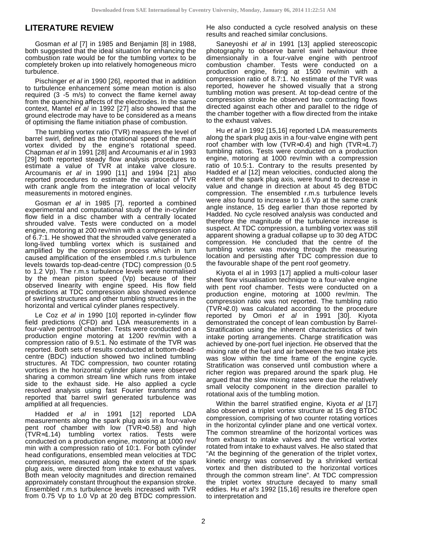### **LITERATURE REVIEW**

Gosman *et al* [7] in 1985 and Benjamin [8] in 1988, both suggested that the ideal situation for enhancing the combustion rate would be for the tumbling vortex to be completely broken up into relatively homogeneous micro turbulence.

Pischinger *et al* in 1990 [26], reported that in addition to turbulence enhancement some mean motion is also required (3 -5 m/s) to convect the flame kernel away from the quenching affects of the electrodes. In the same context, Mantel *et al* in 1992 [27] also showed that the ground electrode may have to be considered as a means of optimising the flame initiation phase of combustion.

The tumbling vortex ratio (TVR) measures the level of barrel swirl, defined as the rotational speed of the main vortex divided by the engine's rotational speed. Chapman *et al* in 1991 [28] and Arcoumanis *et al* in 1993 [29] both reported steady flow analysis procedures to estimate a value of TVR at intake valve closure. Arcoumanis *et al* in 1990 [11] and 1994 [21] also reported procedures to estimate the variation of TVR with crank angle from the integration of local velocity measurements in motored engines.

Gosman *et al* in 1985 [7], reported a combined experimental and computational study of the in-cylinder flow field in a disc chamber with a centrally located shrouded valve. Tests were conducted on a model engine, motoring at 200 rev/min with a compression ratio of 6.7:1. He showed that the shrouded valve generated a long-lived tumbling vortex which is sustained and amplified by the compression process which in turn caused amplification of the ensembled r.m.s turbulence levels towards top-dead-centre (TDC) compression (0.5 to 1.2 Vp). The r.m.s turbulence levels were normalised by the mean piston speed (Vp) because of their observed linearity with engine speed. His flow field predictions at TDC compression also showed evidence of swirling structures and other tumbling structures in the horizontal and vertical cylinder planes respectively.

Le Coz *et al* in 1990 [10] reported in-cylinder flow field predictions (CFD) and LDA measurements in a four-valve pentroof chamber. Tests were conducted on a production engine motoring at 1200 rev/min with a compression ratio of 9.5:1. No estimate of the TVR was reported. Both sets of results conducted at bottom-deadcentre (BDC) induction showed two inclined tumbling structures. At TDC compression, two counter rotating vortices in the horizontal cylinder plane were observed sharing a common stream line which runs from intake side to the exhaust side. He also applied a cycle resolved analysis using fast Fourier transforms and reported that barrel swirl generated turbulence was amplified at all frequencies.

Hadded *et al* in 1991 [12] reported LDA measurements along the spark plug axis in a four-valve pent roof chamber with low (TVR≈0.58) and high (TVR≈1.14) tumbling vortex ratios. Tests were conducted on a production engine, motoring at 1000 rev/ min with a compression ratio of 10:1. For both cylinder head configurations, ensembled mean velocities at TDC compression, measured along the extent of the spark plug axis, were directed from intake to exhaust valves. Both mean velocity magnitudes and direction remained approximately constant throughout the expansion stroke. Ensembled r.m.s turbulence levels increased with TVR from 0.75 Vp to 1.0 Vp at 20 deg BTDC compression. He also conducted a cycle resolved analysis on these results and reached similar conclusions.

Saneyoshi *et al* in 1991 [13] applied stereoscopic photography to observe barrel swirl behaviour three dimensionally in a four-valve engine with pentroof combustion chamber. Tests were conducted on a production engine, firing at 1500 rev/min with a compression ratio of 8.7:1. No estimate of the TVR was reported, however he showed visually that a strong tumbling motion was present. At top-dead centre of the compression stroke he observed two contracting flows directed against each other and parallel to the ridge of the chamber together with a flow directed from the intake to the exhaust valves.

Hu *et al* in 1992 [15,16] reported LDA measurements along the spark plug axis in a four-valve engine with pent roof chamber with low (TVR≈0.4) and high (TVR≈1.7) tumbling ratios. Tests were conducted on a production engine, motoring at 1000 rev/min with a compression ratio of 10.5:1. Contrary to the results presented by Hadded *et al* [12] mean velocities, conducted along the extent of the spark plug axis, were found to decrease in value and change in direction at about 45 deg BTDC compression. The ensembled r.m.s turbulence levels were also found to increase to 1.6 Vp at the same crank angle instance, 15 deg earlier than those reported by Hadded. No cycle resolved analysis was conducted and therefore the magnitude of the turbulence increase is suspect. At TDC compression, a tumbling vortex was still apparent showing a gradual collapse up to 30 deg ATDC compression. He concluded that the centre of the tumbling vortex was moving through the measuring location and persisting after TDC compression due to the favourable shape of the pent roof geometry.

Kiyota el al in 1993 [17] applied a multi-colour laser sheet flow visualisation technique to a four-valve engine with pent roof chamber. Tests were conducted on a production engine, motoring at 1000 rev/min. The compression ratio was not reported. The tumbling ratio (TVR≈2.0) was calculated according to the procedure reported by Omori *et al* in 1991 [30]. Kiyota demonstrated the concept of lean combustion by Barrel-Stratification using the inherent characteristics of twin intake porting arrangements. Charge stratification was achieved by one-port fuel injection. He observed that the mixing rate of the fuel and air between the two intake jets was slow within the time frame of the engine cycle. Stratification was conserved until combustion where a richer region was prepared around the spark plug. He argued that the slow mixing rates were due the relatively small velocity component in the direction parallel to rotational axis of the tumbling motion.

Within the barrel stratified engine, Kiyota *et al* [17] also observed a triplet vortex structure at 15 deg BTDC compression, comprising of two counter rotating vortices in the horizontal cylinder plane and one vertical vortex. The common streamline of the horizontal vortices was from exhaust to intake valves and the vertical vortex rotated from intake to exhaust valves. He also stated that "At the beginning of the generation of the triplet vortex, kinetic energy was conserved by a shrinked vertical vortex and then distributed to the horizontal vortices through the common stream line". At TDC compression the triplet vortex structure decayed to many small eddies. Hu *et al's* 1992 [15,16] results ire therefore open to interpretation and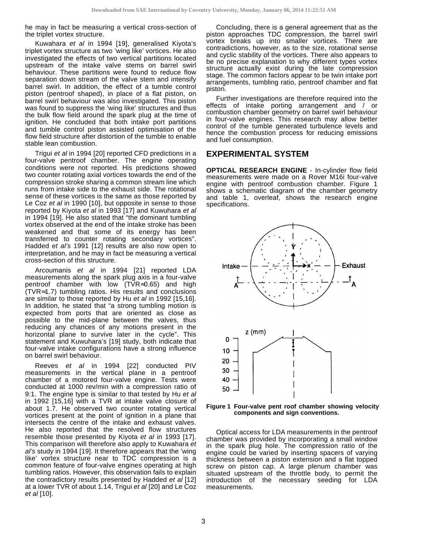he may in fact be measuring a vertical cross-section of the triplet vortex structure.

Kuwahara *et al* in 1994 [19], generalised Kiyota's triplet vortex structure as two 'wing like' vortices. He also investigated the effects of two vertical partitions located upstream of the intake valve stems on barrel swirl behaviour. These partitions were found to reduce flow separation down stream of the valve stem and intensify barrel swirl. In addition, the effect of a tumble control piston (pentroof shaped), in place of a flat piston, on barrel swirl behaviour was also investigated. This piston was found to suppress the 'wing like' structures and thus the bulk flow field around the spark plug at the time of ignition. He concluded that both intake port partitions and tumble control piston assisted optimisation of the flow field structure after distortion of the tumble to enable stable lean combustion.

Trigui *et al* in 1994 [20] reported CFD predictions in a four-valve pentroof chamber. The engine operating conditions were not reported. His predictions showed two counter rotating axial vortices towards the end of the compression stroke sharing a common stream line which runs from intake side to the exhaust side. The rotational sense of these vortices is the same as those reported by Le Coz *et al* in 1990 [10], but opposite in sense to those reported by Kiyota *et al* in 1993 [17] and Kuwuhara *et al* in 1994 [19]. He also stated that "the dominant tumbling vortex observed at the end of the intake stroke has been weakened and that some of its energy has been transferred to counter rotating secondary vortices". Hadded *et al's* 1991 [12] results are also now open to interpretation, and he may in fact be measuring a vertical cross-section of this structure.

Arcoumanis *et al* in 1994 [21] reported LDA measurements along the spark plug axis in a four-valve pentroof chamber with low (TVR≈0.65) and high (TVR≈1.7) tumbling ratios. His results and conclusions are similar to those reported by Hu *et al* in 1992 [15,16]. In addition, he stated that "a strong tumbling motion is expected from ports that are oriented as close as possible to the mid-plane between the valves, thus reducing any chances of any motions present in the horizontal plane to survive later in the cycle". This statement and Kuwuhara's [19] study, both indicate that four-valve intake configurations have a strong influence on barrel swirl behaviour.

Reeves *et al* in 1994 [22] conducted PIV measurements in the vertical plane in a pentroof chamber of a motored four-valve engine. Tests were conducted at 1000 rev/min with a compression ratio of 9:1. The engine type is similar to that tested by Hu *et al* in 1992 [15,16] with a TVR at intake valve closure of about 1.7. He observed two counter rotating vertical vortices present at the point of ignition in a plane that intersects the centre of the intake and exhaust valves. He also reported that the resolved flow structures resemble those presented by Kiyota *et al* in 1993 [17]. This comparison will therefore also apply to Kuwahara *et al's* study in 1994 [19]. It therefore appears that the 'wing like' vortex structure near to TDC compression is a common feature of four-valve engines operating at high tumbling ratios. However, this observation fails to explain the contradictory results presented by Hadded *et al* [12] at a lower TVR of about 1.14, Trigui *et al* [20] and Le Coz *et al* [10].

Concluding, there is a general agreement that as the piston approaches TDC compression, the barrel swirl vortex breaks up into smaller vortices. There are contradictions, however, as to the size, rotational sense and cyclic stability of the vortices. There also appears to be no precise explanation to why different types vortex structure actually exist during the late compression stage. The common factors appear to be twin intake port arrangements, tumbling ratio, pentroof chamber and flat piston.

Further investigations are therefore required into the effects of intake porting arrangement and / or combustion chamber geometry on barrel swirl behaviour in four-valve engines. This research may allow better control of the tumble generated turbulence levels and hence the combustion process for reducing emissions and fuel consumption.

#### **EXPERIMENTAL SYSTEM**

**OPTICAL RESEARCH ENGINE** - In-cylinder flow field measurements were made on a Rover M16i four-valve engine with pentroof combustion chamber. Figure 1 shows a schematic diagram of the chamber geometry and table 1, overleaf, shows the research engine specifications.



**Figure 1 Four-valve pent roof chamber showing velocity components and sign conventions.**

Optical access for LDA measurements in the pentroof chamber was provided by incorporating a small window in the spark plug hole. The compression ratio of the engine could be varied by inserting spacers of varying thickness between a piston extension and a flat topped screw on piston cap. A large plenum chamber was situated upstream of the throttle body, to permit the introduction of the necessary seeding for LDA measurements.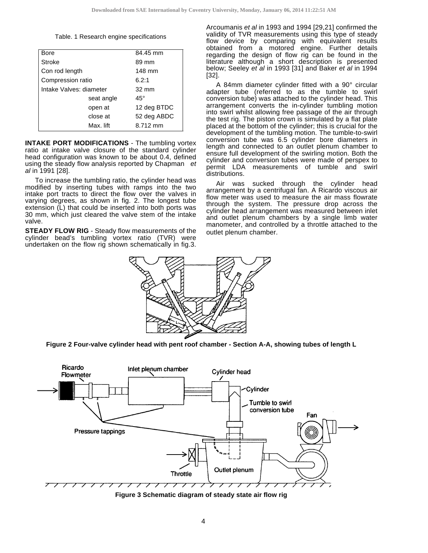Table. 1 Research engine specifications

| <b>Bore</b>             |            | 84.45 mm        |
|-------------------------|------------|-----------------|
| Stroke                  |            | 89 mm           |
| Con rod length          |            | 148 mm          |
| Compression ratio       |            | 6.2:1           |
| Intake Valves: diameter |            | $32 \text{ mm}$ |
|                         | seat angle | $45^{\circ}$    |
|                         | open at    | 12 deg BTDC     |
|                         | close at   | 52 deg ABDC     |
|                         | Max. lift  | 8.712 mm        |

**INTAKE PORT MODIFICATIONS** - The tumbling vortex ratio at intake valve closure of the standard cylinder head configuration was known to be about 0.4, defined using the steady flow analysis reported by Chapman *et al* in 1991 [28].

To increase the tumbling ratio, the cylinder head was modified by inserting tubes with ramps into the two intake port tracts to direct the flow over the valves in varying degrees, as shown in fig. 2. The longest tube extension (L) that could be inserted into both ports was 30 mm, which just cleared the valve stem of the intake valve.

**STEADY FLOW RIG** - Steady flow measurements of the cylinder bead's tumbling vortex ratio (TVR) were undertaken on the flow rig shown schematically in fig.3. Arcoumanis *et al* in 1993 and 1994 [29,21] confirmed the validity of TVR measurements using this type of steady flow device by comparing with equivalent results obtained from a motored engine. Further details regarding the design of flow rig can be found in the literature although a short description is presented below; Seeley *et al* in 1993 [31] and Baker *et al* in 1994 [32].

A 84mm diameter cylinder fitted with a 90° circular adapter tube (referred to as the tumble to swirl conversion tube) was attached to the cylinder head. This arrangement converts the in-cylinder tumbling motion into swirl whilst allowing free passage of the air through the test rig. The piston crown is simulated by a flat plate placed at the bottom of the cylinder; this is crucial for the development of the tumbling motion. The tumble-to-swirl conversion tube was 6.5 cylinder bore diameters in length and connected to an outlet plenum chamber to ensure full development of the swirling motion. Both the cylinder and conversion tubes were made of perspex to permit LDA measurements of tumble and swirl distributions.

Air was sucked through the cylinder head arrangement by a centrifugal fan. A Ricardo viscous air flow meter was used to measure the air mass flowrate through the system. The pressure drop across the cylinder head arrangement was measured between inlet and outlet plenum chambers by a single limb water manometer, and controlled by a throttle attached to the outlet plenum chamber.



**Figure 2 Four-valve cylinder head with pent roof chamber - Section A-A, showing tubes of length L**



**Figure 3 Schematic diagram of steady state air flow rig**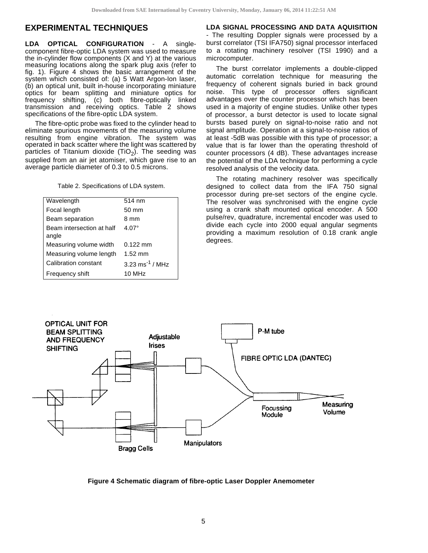#### **EXPERIMENTAL TECHNIQUES**

**LDA OPTICAL CONFIGURATION** - A singlecomponent fibre-optic LDA system was used to measure the in-cylinder flow components (X and Y) at the various measuring locations along the spark plug axis (refer to fig. 1). Figure 4 shows the basic arrangement of the system which consisted of: (a) 5 Watt Argon-Ion laser, (b) an optical unit, built in-house incorporating miniature optics for beam splitting and miniature optics for frequency shifting, (c) both fibre-optically linked transmission and receiving optics. Table 2 shows specifications of the fibre-optic LDA system.

The fibre-optic probe was fixed to the cylinder head to eliminate spurious movements of the measuring volume resulting from engine vibration. The system was operated in back scatter where the light was scattered by particles of Titanium dioxide (TiO<sub>2</sub>). The seeding was supplied from an air jet atomiser, which gave rise to an average particle diameter of 0.3 to 0.5 microns.

Table 2. Specifications of LDA system.

| 514 nm                      |
|-----------------------------|
| $50 \text{ mm}$             |
| 8 mm                        |
| $4.07^\circ$                |
| $0.122$ mm                  |
| $1.52 \text{ mm}$           |
| 3.23 ms <sup>-1</sup> / MHz |
| 10 MHz                      |
|                             |

**LDA SIGNAL PROCESSING AND DATA AQUISITION** - The resulting Doppler signals were processed by a burst correlator (TSI IFA750) signal processor interfaced to a rotating machinery resolver (TSI 1990) and a microcomputer.

The burst correlator implements a double-clipped automatic correlation technique for measuring the frequency of coherent signals buried in back ground noise. This type of processor offers significant advantages over the counter processor which has been used in a majority of engine studies. Unlike other types of processor, a burst detector is used to locate signal bursts based purely on signal-to-noise ratio and not signal amplitude. Operation at a signal-to-noise ratios of at least -5dB was possible with this type of processor; a value that is far lower than the operating threshold of counter processors (4 dB). These advantages increase the potential of the LDA technique for performing a cycle resolved analysis of the velocity data.

The rotating machinery resolver was specifically designed to collect data from the IFA 750 signal processor during pre-set sectors of the engine cycle. The resolver was synchronised with the engine cycle using a crank shaft mounted optical encoder. A 500 pulse/rev, quadrature, incremental encoder was used to divide each cycle into 2000 equal angular segments providing a maximum resolution of 0.18 crank angle degrees.



**Figure 4 Schematic diagram of fibre-optic Laser Doppler Anemometer**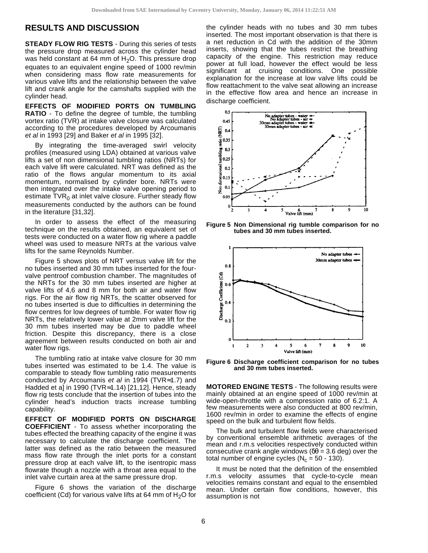#### **RESULTS AND DISCUSSION**

**STEADY FLOW RIG TESTS** - During this series of tests the pressure drop measured across the cylinder head was held constant at 64 mm of  $H_2O$ . This pressure drop equates to an equivalent engine speed of 1000 rev/min when considering mass flow rate measurements for various valve lifts and the relationship between the valve lift and crank angle for the camshafts supplied with the cylinder head.

**EFFECTS OF MODIFIED PORTS ON TUMBLING RATIO** - To define the degree of tumble, the tumbling vortex ratio (TVR) at intake valve closure was calculated according to the procedures developed by Arcoumanis *et al* in 1993 [29] and Baker *et al* in 1995 [32].

By integrating the time-averaged swirl velocity profiles (measured using LDA) obtained at various valve lifts a set of non dimensional tumbling ratios (NRTs) for each valve lift were calculated. NRT was defined as the ratio of the flows angular momentum to its axial momentum, normalised by cylinder bore. NRTs were then integrated over the intake valve opening period to estimate TVR $_{\rm 0}$  at inlet valve closure. Further steady flow measurements conducted by the authors can be found in the literature [31,32].

In order to assess the effect of the measuring technique on the results obtained, an equivalent set of tests were conducted on a water flow rig where a paddle wheel was used to measure NRTs at the various valve lifts for the same Reynolds Number.

Figure 5 shows plots of NRT versus valve lift for the no tubes inserted and 30 mm tubes inserted for the fourvalve pentroof combustion chamber. The magnitudes of the NRTs for the 30 mm tubes inserted are higher at valve lifts of 4,6 and 8 mm for both air and water flow rigs. For the air flow rig NRTs, the scatter observed for no tubes inserted is due to difficulties in determining the flow centres for low degrees of tumble. For water flow rig NRTs, the relatively lower value at 2mm valve lift for the 30 mm tubes inserted may be due to paddle wheel friction. Despite this discrepancy, there is a close agreement between results conducted on both air and water flow rigs.

The tumbling ratio at intake valve closure for 30 mm tubes inserted was estimated to be 1.4. The value is comparable to steady flow tumbling ratio measurements conducted by Arcoumanis *et al* in 1994 (TVR≈1.7) and Hadded et a] in 1990 (TVR≈1.14) [21,12]. Hence, steady flow rig tests conclude that the insertion of tubes into the cylinder head's induction tracts increase tumbling capability.

**EFFECT OF MODIFIED PORTS ON DISCHARGE COEFFICIENT** - To assess whether incorporating the tubes effected the breathing capacity of the engine it was necessary to calculate the discharge coefficient. The latter was defined as the ratio between the measured mass flow rate through the inlet ports for a constant pressure drop at each valve lift, to the isentropic mass flowrate though a nozzle with a throat area equal to the inlet valve curtain area at the same pressure drop.

Figure 6 shows the variation of the discharge coefficient (Cd) for various valve lifts at 64 mm of  $H_2O$  for the cylinder heads with no tubes and 30 mm tubes inserted. The most important observation is that there is a net reduction in Cd with the addition of the 30mm inserts, showing that the tubes restrict the breathing capacity of the engine. This restriction may reduce power at full load, however the effect would be less significant at cruising conditions. One possible explanation for the increase at low valve lifts could be flow reattachment to the valve seat allowing an increase in the effective flow area and hence an increase in discharge coefficient.



**Figure 5 Non Dimensional rig tumble comparison for no tubes and 30 mm tubes inserted.**



**Figure 6 Discharge coefficient comparison for no tubes and 30 mm tubes inserted.**

**MOTORED ENGINE TESTS** - The following results were mainly obtained at an engine speed of 1000 rev/min at wide-open-throttle with a compression ratio of 6.2:1. A few measurements were also conducted at 800 rev/min, 1600 rev/min in order to examine the effects of engine speed on the bulk and turbulent flow fields.

The bulk and turbulent flow fields were characterised by conventional ensemble arithmetic averages of the mean and r.m.s velocities respectively conducted within consecutive crank angle windows ( $\delta\theta$  = 3.6 deg) over the total number of engine cycles ( $N_c$  = 50 - 130).

It must be noted that the definition of the ensembled r.m.s velocity assumes that cycle-to-cycle mean velocities remains constant and equal to the ensembled mean. Under certain flow conditions, however, this assumption is not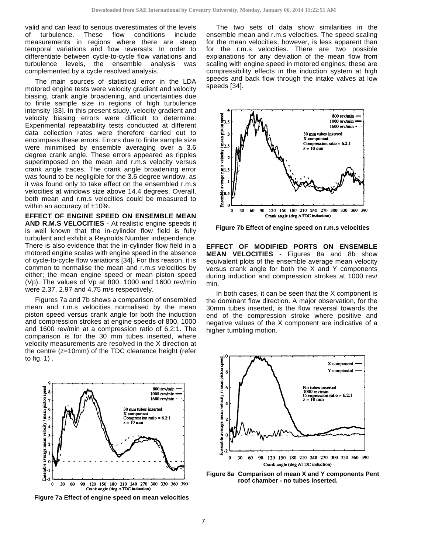valid and can lead to serious overestimates of the levels of turbulence. These flow conditions include measurements in regions where there are steep temporal variations and flow reversals. In order to differentiate between cycle-to-cycle flow variations and turbulence levels, the ensemble analysis was complemented by a cycle resolved analysis.

The main sources of statistical error in the LDA motored engine tests were velocity gradient and velocity biasing, crank angle broadening, and uncertainties due to finite sample size in regions of high turbulence intensity [33]. In this present study, velocity gradient and velocity biasing errors were difficult to determine. Experimental repeatability tests conducted at different data collection rates were therefore carried out to encompass these errors. Errors due to finite sample size were minimised by ensemble averaging over a 3.6 degree crank angle. These errors appeared as ripples superimposed on the mean and r.m.s velocity versus crank angle traces. The crank angle broadening error was found to be negligible for the 3.6 degree window, as it was found only to take effect on the ensembled r.m.s velocities at windows size above 14.4 degrees. Overall, both mean and r.m.s velocities could be measured to within an accuracy of  $±10\%$ .

**EFFECT OF ENGINE SPEED ON ENSEMBLE MEAN AND R.M.S VELOCITIES** - At realistic engine speeds it is well known that the in-cylinder flow field is fully turbulent and exhibit a Reynolds Number independence. There is also evidence that the in-cylinder flow field in a motored engine scales with engine speed in the absence of cycle-to-cycle flow variations [34]. For this reason, it is common to normalise the mean and r.m.s velocities by either; the mean engine speed or mean piston speed (Vp). The values of Vp at 800, 1000 and 1600 rev/min were 2.37, 2.97 and 4.75 m/s respectively.

Figures 7a and 7b shows a comparison of ensembled mean and r.m.s velocities normalised by the mean piston speed versus crank angle for both the induction and compression strokes at engine speeds of 800, 1000 and 1600 rev/min at a compression ratio of 6.2:1. The comparison is for the 30 mm tubes inserted, where velocity measurements are resolved in the X direction at the centre (z=10mm) of the TDC clearance height (refer to fig. 1) .



**Figure 7a Effect of engine speed on mean velocities**

The two sets of data show similarities in the ensemble mean and r.m.s velocities. The speed scaling for the mean velocities, however, is less apparent than for the r.m.s velocities. There are two possible explanations for any deviation of the mean flow from scaling with engine speed in motored engines; these are compressibility effects in the induction system at high speeds and back flow through the intake valves at low speeds [34].



**Figure 7b Effect of engine speed on r.m.s velocities**

**EFFECT OF MODIFIED PORTS ON ENSEMBLE MEAN VELOCITIES** - Figures 8a and 8b show equivalent plots of the ensemble average mean velocity versus crank angle for both the X and Y components during induction and compression strokes at 1000 rev/ min.

In both cases, it can be seen that the X component is the dominant flow direction. A major observation, for the 30mm tubes inserted, is the flow reversal towards the end of the compression stroke where positive and negative values of the X component are indicative of a higher tumbling motion.



**Figure 8a Comparison of mean X and Y components Pent roof chamber - no tubes inserted.**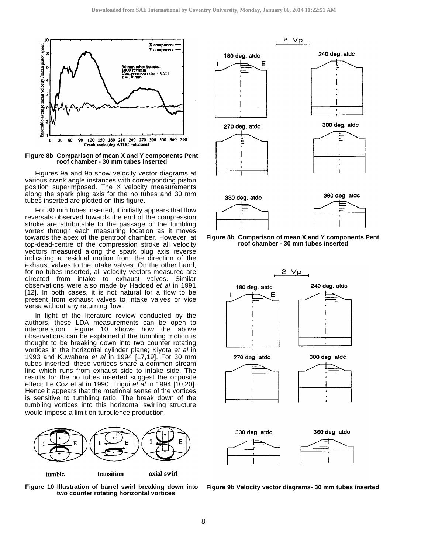

**Figure 8b Comparison of mean X and Y components Pent roof chamber - 30 mm tubes inserted**

Figures 9a and 9b show velocity vector diagrams at various crank angle instances with corresponding piston position superimposed. The X velocity measurements along the spark plug axis for the no tubes and 30 mm tubes inserted are plotted on this figure.

For 30 mm tubes inserted, it initially appears that flow reversals observed towards the end of the compression stroke are attributable to the passage of the tumbling vortex through each measuring location as it moves towards the apex of the pentroof chamber. However, at top-dead-centre of the compression stroke all velocity vectors measured along the spark plug axis reverse indicating a residual motion from the direction of the exhaust valves to the intake valves. On the other hand, for no tubes inserted, all velocity vectors measured are directed from intake to exhaust valves. Similar observations were also made by Hadded *et al* in 1991 [12]. In both cases, it is not natural for a flow to be present from exhaust valves to intake valves or vice versa without any returning flow.

In light of the literature review conducted by the authors, these LDA measurements can be open to interpretation. Figure 10 shows how the above observations can be explained if the tumbling motion is thought to be breaking down into two counter rotating vortices in the horizontal cylinder plane; Kiyota *et al* in 1993 and Kuwahara *et al* in 1994 [17,19]. For 30 mm tubes inserted, these vortices share a common stream line which runs from exhaust side to intake side. The results for the no tubes inserted suggest the opposite effect; Le Coz el al in 1990, Trigui *et al* in 1994 [10,20]. Hence it appears that the rotational sense of the vortices is sensitive to tumbling ratio. The break down of the tumbling vortices into this horizontal swirling structure would impose a limit on turbulence production.



**Figure 10 Illustration of barrel swirl breaking down into two counter rotating horizontal vortices**



**Figure 8b Comparison of mean X and Y components Pent roof chamber - 30 mm tubes inserted**



**Figure 9b Velocity vector diagrams- 30 mm tubes inserted**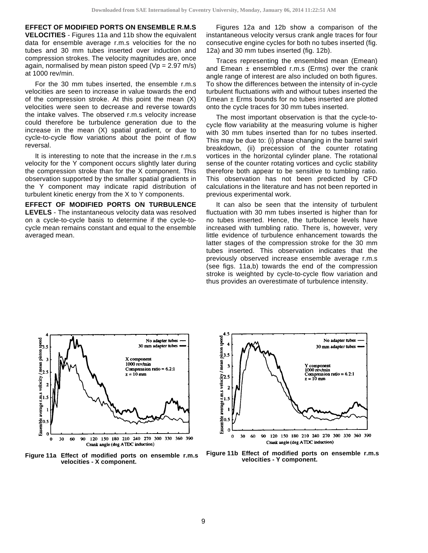**EFFECT OF MODIFIED PORTS ON ENSEMBLE R.M.S VELOCITIES** - Figures 11a and 11b show the equivalent data for ensemble average r.m.s velocities for the no tubes and 30 mm tubes inserted over induction and compression strokes. The velocity magnitudes are, once again, normalised by mean piston speed ( $Vp = 2.97$  m/s) at 1000 rev/min.

For the 30 mm tubes inserted, the ensemble r.m.s velocities are seen to increase in value towards the end of the compression stroke. At this point the mean (X) velocities were seen to decrease and reverse towards the intake valves. The observed r.m.s velocity increase could therefore be turbulence generation due to the increase in the mean (X) spatial gradient, or due to cycle-to-cycle flow variations about the point of flow reversal.

It is interesting to note that the increase in the r.m.s velocity for the Y component occurs slightly later during the compression stroke than for the X component. This observation supported by the smaller spatial gradients in the Y component may indicate rapid distribution of turbulent kinetic energy from the X to Y components.

**EFFECT OF MODIFIED PORTS ON TURBULENCE LEVELS** - The instantaneous velocity data was resolved on a cycle-to-cycle basis to determine if the cycle-tocycle mean remains constant and equal to the ensemble averaged mean.

Figures 12a and 12b show a comparison of the instantaneous velocity versus crank angle traces for four consecutive engine cycles for both no tubes inserted (fig. 12a) and 30 mm tubes inserted (fig. 12b).

Traces representing the ensembled mean (Emean) and Emean  $\pm$  ensembled r.m.s (Erms) over the crank angle range of interest are also included on both figures. To show the differences between the intensity of in-cycle turbulent fluctuations with and without tubes inserted the Emean  $\pm$  Erms bounds for no tubes inserted are plotted onto the cycle traces for 30 mm tubes inserted.

The most important observation is that the cycle-tocycle flow variability at the measuring volume is higher with 30 mm tubes inserted than for no tubes inserted. This may be due to: (i) phase changing in the barrel swirl breakdown, (ii) precession of the counter rotating vortices in the horizontal cylinder plane. The rotational sense of the counter rotating vortices and cyclic stability therefore both appear to be sensitive to tumbling ratio. This observation has not been predicted by CFD calculations in the literature and has not been reported in previous experimental work.

It can also be seen that the intensity of turbulent fluctuation with 30 mm tubes inserted is higher than for no tubes inserted. Hence, the turbulence levels have increased with tumbling ratio. There is, however, very little evidence of turbulence enhancement towards the latter stages of the compression stroke for the 30 mm tubes inserted. This observation indicates that the previously observed increase ensemble average r.m.s (see figs. 11a,b) towards the end of the compression stroke is weighted by cycle-to-cycle flow variation and thus provides an overestimate of turbulence intensity.



**Figure 11a Effect of modified ports on ensemble r.m.s velocities - X component.**



**Figure 11b Effect of modified ports on ensemble r.m.s velocities - Y component.**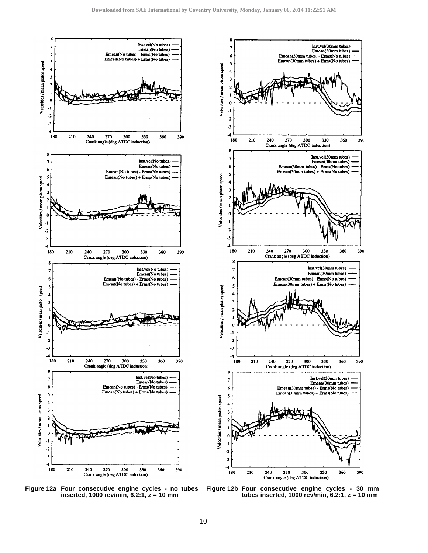Я







**Figure 12b Four consecutive engine cycles - 30 mm tubes inserted, 1000 rev/min, 6.2:1, z = 10 mm**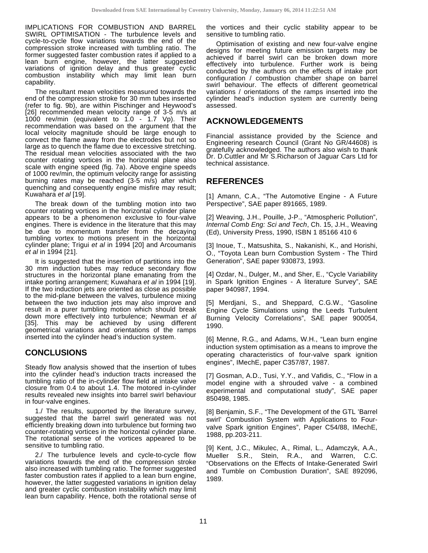IMPLICATIONS FOR COMBUSTION AND BARREL SWIRL OPTIMISATION - The turbulence levels and cycle-to-cycle flow variations towards the end of the compression stroke increased with tumbling ratio. The former suggested faster combustion rates if applied to a lean burn engine, however, the latter suggested variations of ignition delay and thus greater cyclic combustion instability which may limit lean burn capability.

The resultant mean velocities measured towards the end of the compression stroke for 30 mm tubes inserted (refer to fig. 9b), are within Pischinger and Heywood's [26] recommended mean velocity range of 3-5 m/s at 1000 rev/min (equivalent to 1.0 - 1.7 Vp). Their recommendation was based on the argument that the local velocity magnitude should be large enough to convect the flame away from the electrodes but not so large as to quench the flame due to excessive stretching. The residual mean velocities associated with the two counter rotating vortices in the horizontal plane also scale with engine speed (fig. 7a). Above engine speeds of 1000 rev/min, the optimum velocity range for assisting burning rates may be reached (3-5 m/s) after which quenching and consequently engine misfire may result; Kuwahara *et al* [19].

The break down of the tumbling motion into two counter rotating vortices in the horizontal cylinder plane appears to be a phenomenon exclusive to four-valve engines. There is evidence in the literature that this may be due to momentum transfer from the decaying tumbling vortex to motions present in the horizontal cylinder plane; Trigui *et al* in 1994 [20] and Arcoumanis *et al* in 1994 [21].

It is suggested that the insertion of partitions into the 30 mm induction tubes may reduce secondary flow structures in the horizontal plane emanating from the intake porting arrangement; Kuwahara *et al* in 1994 [19]. If the two induction jets are oriented as close as possible to the mid-plane between the valves, turbulence mixing between the two induction jets may also improve and result in a purer tumbling motion which should break down more effectively into turbulence; Newman *et al* [35]. This may be achieved by using different geometrical variations and orientations of the ramps inserted into the cylinder head's induction system.

## **CONCLUSIONS**

Steady flow analysis showed that the insertion of tubes into the cylinder head's induction tracts increased the tumbling ratio of the in-cylinder flow field at intake valve closure from 0.4 to about 1.4. The motored in-cylinder results revealed new insights into barrel swirl behaviour in four-valve engines.

1./ The results, supported by the literature survey, suggested that the barrel swirl generated was not efficiently breaking down into turbulence but forming two counter-rotating vortices in the horizontal cylinder plane. The rotational sense of the vortices appeared to be sensitive to tumbling ratio.

2./ The turbulence levels and cycle-to-cycle flow variations towards the end of the compression stroke also increased with tumbling ratio. The former suggested faster combustion rates if applied to a lean burn engine, however, the latter suggested variations in ignition delay and greater cyclic combustion instability which may limit lean burn capability. Hence, both the rotational sense of the vortices and their cyclic stability appear to be sensitive to tumbling ratio.

Optimisation of existing and new four-valve engine designs for meeting future emission targets may be achieved if barrel swirl can be broken down more effectively into turbulence. Further work is being conducted by the authors on the effects of intake port configuration / combustion chamber shape on barrel swirl behaviour. The effects of different geometrical variations / orientations of the ramps inserted into the cylinder head's induction system are currently being assessed.

#### **ACKNOWLEDGEMENTS**

Financial assistance provided by the Science and Engineering research Council (Grant No GR/44608) is gratefully acknowledged. The authors also wish to thank Dr. D.Cuttler and Mr S.Richarson of Jaguar Cars Ltd for technical assistance.

### **REFERENCES**

[1] Amann, C.A., "The Automotive Engine - A Future Perspective", SAE paper 891665, 1989.

[2] Weaving, J.H., Pouille, J-P., "Atmospheric Pollution", *Internal Comb Eng: Sci and Tech*, Ch. 15, J.H., Weaving (Ed), University Press, 1990, ISBN 1 85166 410 6

[3] Inoue, T., Matsushita, S., Nakanishi, K., and Horishi, O., "Toyota Lean burn Combustion System - The Third Generation", SAE paper 930873, 1993.

[4] Ozdar, N., Dulger, M., and Sher, E., "Cycle Variability in Spark Ignition Engines - A literature Survey", SAE paper 940987, 1994.

[5] Merdjani, S., and Sheppard, C.G.W., "Gasoline Engine Cycle Simulations using the Leeds Turbulent Burning Velocity Correlations", SAE paper 900054, 1990.

[6] Menne, R.G., and Adams, W.H., "Lean burn engine induction system optimisation as a means to improve the operating characteristics of four-valve spark ignition engines", IMechE, paper C357/87, 1987.

[7] Gosman, A.D., Tusi, Y.Y., and Vafidis, C., "Flow in a model engine with a shrouded valve - a combined experimental and computational study", SAE paper 850498, 1985.

[8] Benjamin, S.F., "The Development of the GTL 'Barrel swirl' Combustion System with Applications to Fourvalve Spark ignition Engines", Paper C54/88, IMechE, 1988, pp.203-211.

[9] Kent, J.C., Mikulec, A., Rimal, L., Adamczyk, A.A., Mueller S.R., Stein, R.A., and Warren, C.C. "Observations on the Effects of Intake-Generated Swirl and Tumble on Combustion Duration", SAE 892096, 1989.